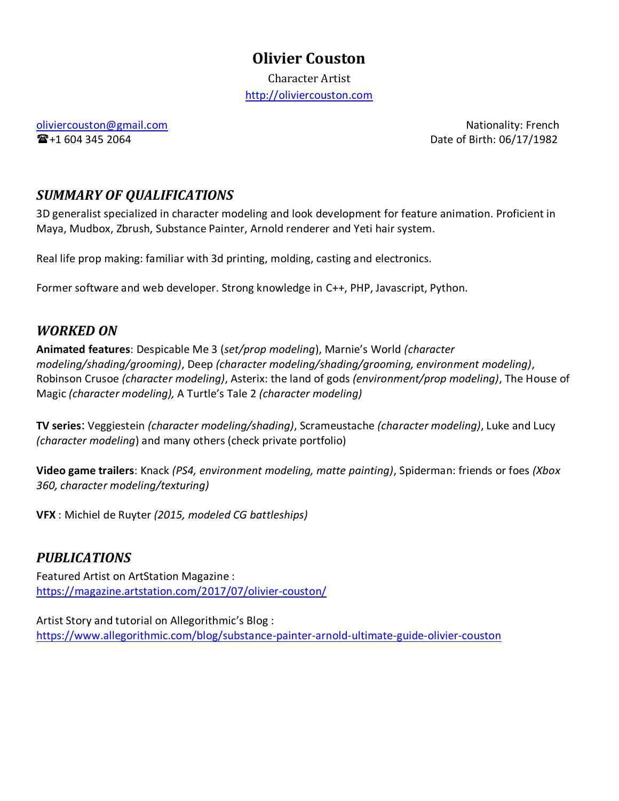# **Olivier Couston**

Character Artist [http://oliviercouston.com](http://oliviercouston.com/)

[oliviercouston@gmail.com](mailto:oliviercouston@gmail.com) **Nationality: French 企**+1 604 345 2064 **Date of Birth: 06/17/1982** 

## *SUMMARY OF QUALIFICATIONS*

3D generalist specialized in character modeling and look development for feature animation. Proficient in Maya, Mudbox, Zbrush, Substance Painter, Arnold renderer and Yeti hair system.

Real life prop making: familiar with 3d printing, molding, casting and electronics.

Former software and web developer. Strong knowledge in C++, PHP, Javascript, Python.

## *WORKED ON*

**Animated features**: Despicable Me 3 (*set/prop modeling*), Marnie's World *(character modeling/shading/grooming)*, Deep *(character modeling/shading/grooming, environment modeling)*, Robinson Crusoe *(character modeling)*, Asterix: the land of gods *(environment/prop modeling)*, The House of Magic *(character modeling),* A Turtle's Tale 2 *(character modeling)*

**TV series**: Veggiestein *(character modeling/shading)*, Scrameustache *(character modeling)*, Luke and Lucy *(character modeling*) and many others (check private portfolio)

**Video game trailers**: Knack *(PS4, environment modeling, matte painting)*, Spiderman: friends or foes *(Xbox 360, character modeling/texturing)*

**VFX** : Michiel de Ruyter *(2015, modeled CG battleships)*

## *PUBLICATIONS*

Featured Artist on ArtStation Magazine : <https://magazine.artstation.com/2017/07/olivier-couston/>

Artist Story and tutorial on Allegorithmic's Blog : <https://www.allegorithmic.com/blog/substance-painter-arnold-ultimate-guide-olivier-couston>